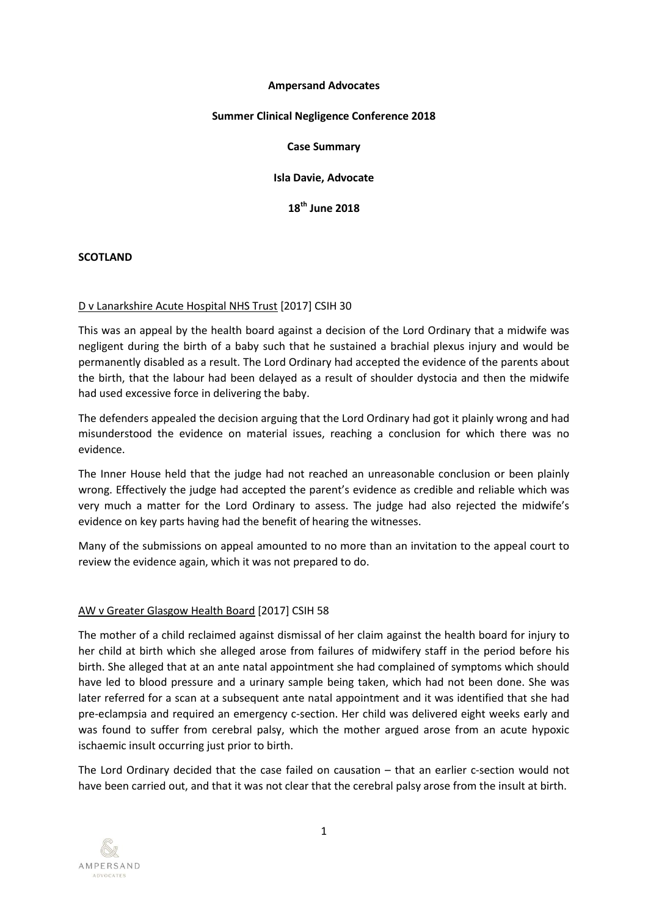#### **Ampersand Advocates**

### **Summer Clinical Negligence Conference 2018**

#### **Case Summary**

**Isla Davie, Advocate**

**18th June 2018**

#### **SCOTLAND**

### D v Lanarkshire Acute Hospital NHS Trust [2017] CSIH 30

This was an appeal by the health board against a decision of the Lord Ordinary that a midwife was negligent during the birth of a baby such that he sustained a brachial plexus injury and would be permanently disabled as a result. The Lord Ordinary had accepted the evidence of the parents about the birth, that the labour had been delayed as a result of shoulder dystocia and then the midwife had used excessive force in delivering the baby.

The defenders appealed the decision arguing that the Lord Ordinary had got it plainly wrong and had misunderstood the evidence on material issues, reaching a conclusion for which there was no evidence.

The Inner House held that the judge had not reached an unreasonable conclusion or been plainly wrong. Effectively the judge had accepted the parent's evidence as credible and reliable which was very much a matter for the Lord Ordinary to assess. The judge had also rejected the midwife's evidence on key parts having had the benefit of hearing the witnesses.

Many of the submissions on appeal amounted to no more than an invitation to the appeal court to review the evidence again, which it was not prepared to do.

### AW v Greater Glasgow Health Board [2017] CSIH 58

The mother of a child reclaimed against dismissal of her claim against the health board for injury to her child at birth which she alleged arose from failures of midwifery staff in the period before his birth. She alleged that at an ante natal appointment she had complained of symptoms which should have led to blood pressure and a urinary sample being taken, which had not been done. She was later referred for a scan at a subsequent ante natal appointment and it was identified that she had pre-eclampsia and required an emergency c-section. Her child was delivered eight weeks early and was found to suffer from cerebral palsy, which the mother argued arose from an acute hypoxic ischaemic insult occurring just prior to birth.

The Lord Ordinary decided that the case failed on causation – that an earlier c-section would not have been carried out, and that it was not clear that the cerebral palsy arose from the insult at birth.

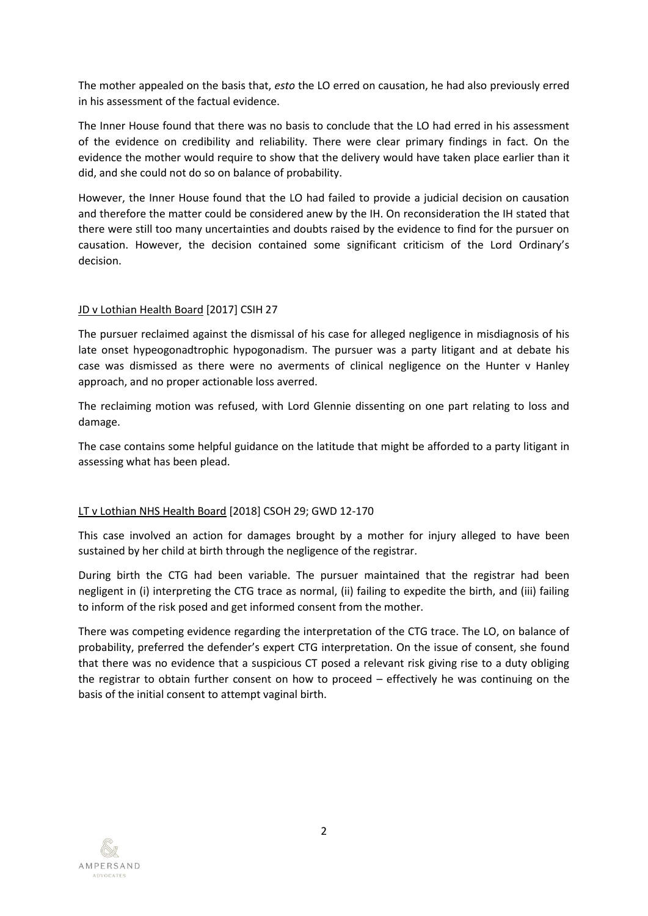The mother appealed on the basis that, *esto* the LO erred on causation, he had also previously erred in his assessment of the factual evidence.

The Inner House found that there was no basis to conclude that the LO had erred in his assessment of the evidence on credibility and reliability. There were clear primary findings in fact. On the evidence the mother would require to show that the delivery would have taken place earlier than it did, and she could not do so on balance of probability.

However, the Inner House found that the LO had failed to provide a judicial decision on causation and therefore the matter could be considered anew by the IH. On reconsideration the IH stated that there were still too many uncertainties and doubts raised by the evidence to find for the pursuer on causation. However, the decision contained some significant criticism of the Lord Ordinary's decision.

### JD v Lothian Health Board [2017] CSIH 27

The pursuer reclaimed against the dismissal of his case for alleged negligence in misdiagnosis of his late onset hypeogonadtrophic hypogonadism. The pursuer was a party litigant and at debate his case was dismissed as there were no averments of clinical negligence on the Hunter v Hanley approach, and no proper actionable loss averred.

The reclaiming motion was refused, with Lord Glennie dissenting on one part relating to loss and damage.

The case contains some helpful guidance on the latitude that might be afforded to a party litigant in assessing what has been plead.

# LT v Lothian NHS Health Board [2018] CSOH 29; GWD 12-170

This case involved an action for damages brought by a mother for injury alleged to have been sustained by her child at birth through the negligence of the registrar.

During birth the CTG had been variable. The pursuer maintained that the registrar had been negligent in (i) interpreting the CTG trace as normal, (ii) failing to expedite the birth, and (iii) failing to inform of the risk posed and get informed consent from the mother.

There was competing evidence regarding the interpretation of the CTG trace. The LO, on balance of probability, preferred the defender's expert CTG interpretation. On the issue of consent, she found that there was no evidence that a suspicious CT posed a relevant risk giving rise to a duty obliging the registrar to obtain further consent on how to proceed – effectively he was continuing on the basis of the initial consent to attempt vaginal birth.

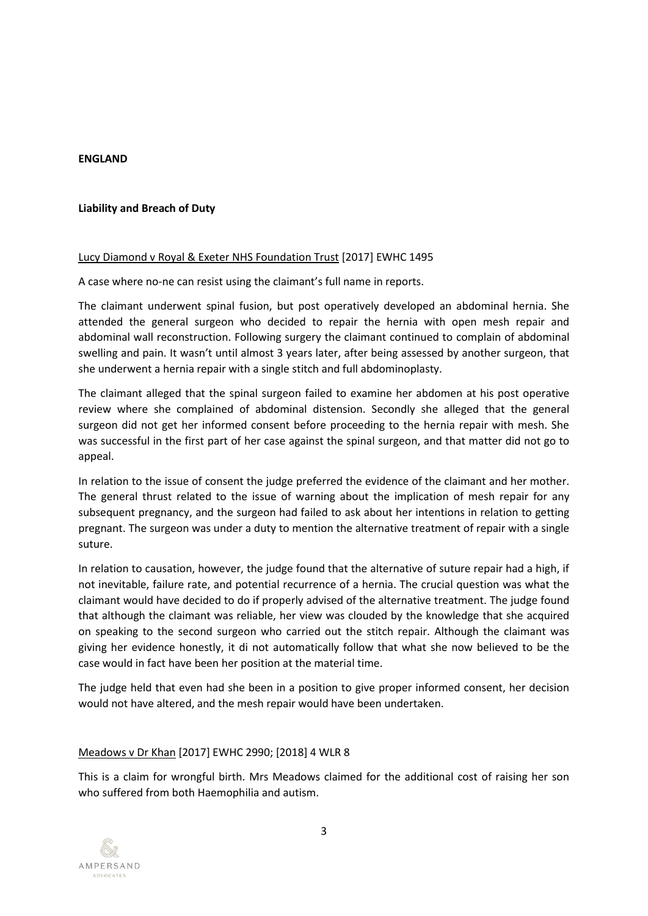### **ENGLAND**

### **Liability and Breach of Duty**

### Lucy Diamond v Royal & Exeter NHS Foundation Trust [2017] EWHC 1495

A case where no-ne can resist using the claimant's full name in reports.

The claimant underwent spinal fusion, but post operatively developed an abdominal hernia. She attended the general surgeon who decided to repair the hernia with open mesh repair and abdominal wall reconstruction. Following surgery the claimant continued to complain of abdominal swelling and pain. It wasn't until almost 3 years later, after being assessed by another surgeon, that she underwent a hernia repair with a single stitch and full abdominoplasty.

The claimant alleged that the spinal surgeon failed to examine her abdomen at his post operative review where she complained of abdominal distension. Secondly she alleged that the general surgeon did not get her informed consent before proceeding to the hernia repair with mesh. She was successful in the first part of her case against the spinal surgeon, and that matter did not go to appeal.

In relation to the issue of consent the judge preferred the evidence of the claimant and her mother. The general thrust related to the issue of warning about the implication of mesh repair for any subsequent pregnancy, and the surgeon had failed to ask about her intentions in relation to getting pregnant. The surgeon was under a duty to mention the alternative treatment of repair with a single suture.

In relation to causation, however, the judge found that the alternative of suture repair had a high, if not inevitable, failure rate, and potential recurrence of a hernia. The crucial question was what the claimant would have decided to do if properly advised of the alternative treatment. The judge found that although the claimant was reliable, her view was clouded by the knowledge that she acquired on speaking to the second surgeon who carried out the stitch repair. Although the claimant was giving her evidence honestly, it di not automatically follow that what she now believed to be the case would in fact have been her position at the material time.

The judge held that even had she been in a position to give proper informed consent, her decision would not have altered, and the mesh repair would have been undertaken.

# Meadows v Dr Khan [2017] EWHC 2990; [2018] 4 WLR 8

This is a claim for wrongful birth. Mrs Meadows claimed for the additional cost of raising her son who suffered from both Haemophilia and autism.

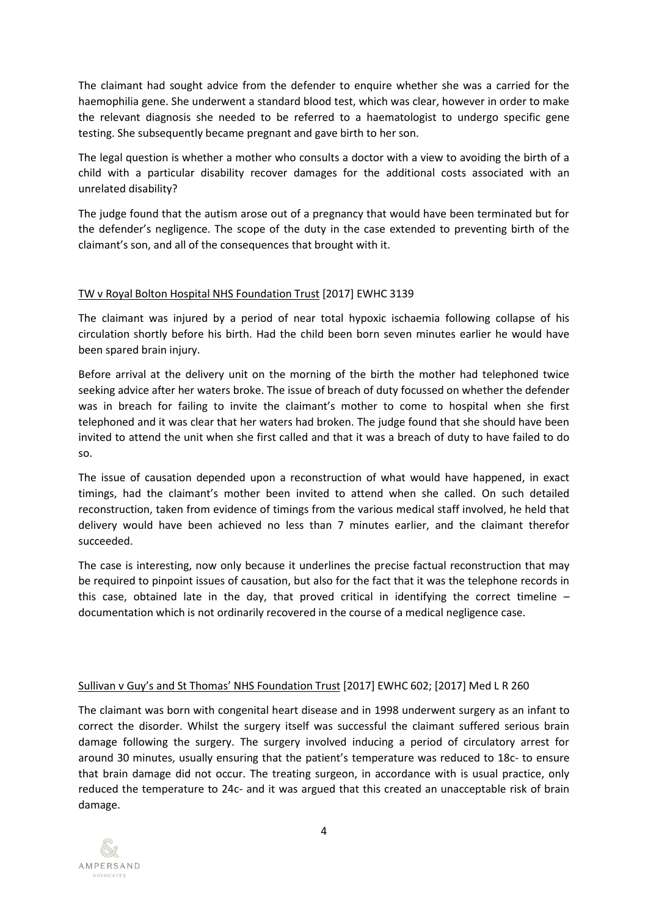The claimant had sought advice from the defender to enquire whether she was a carried for the haemophilia gene. She underwent a standard blood test, which was clear, however in order to make the relevant diagnosis she needed to be referred to a haematologist to undergo specific gene testing. She subsequently became pregnant and gave birth to her son.

The legal question is whether a mother who consults a doctor with a view to avoiding the birth of a child with a particular disability recover damages for the additional costs associated with an unrelated disability?

The judge found that the autism arose out of a pregnancy that would have been terminated but for the defender's negligence. The scope of the duty in the case extended to preventing birth of the claimant's son, and all of the consequences that brought with it.

# TW v Royal Bolton Hospital NHS Foundation Trust [2017] EWHC 3139

The claimant was injured by a period of near total hypoxic ischaemia following collapse of his circulation shortly before his birth. Had the child been born seven minutes earlier he would have been spared brain injury.

Before arrival at the delivery unit on the morning of the birth the mother had telephoned twice seeking advice after her waters broke. The issue of breach of duty focussed on whether the defender was in breach for failing to invite the claimant's mother to come to hospital when she first telephoned and it was clear that her waters had broken. The judge found that she should have been invited to attend the unit when she first called and that it was a breach of duty to have failed to do so.

The issue of causation depended upon a reconstruction of what would have happened, in exact timings, had the claimant's mother been invited to attend when she called. On such detailed reconstruction, taken from evidence of timings from the various medical staff involved, he held that delivery would have been achieved no less than 7 minutes earlier, and the claimant therefor succeeded.

The case is interesting, now only because it underlines the precise factual reconstruction that may be required to pinpoint issues of causation, but also for the fact that it was the telephone records in this case, obtained late in the day, that proved critical in identifying the correct timeline  $$ documentation which is not ordinarily recovered in the course of a medical negligence case.

# Sullivan v Guy's and St Thomas' NHS Foundation Trust [2017] EWHC 602; [2017] Med L R 260

The claimant was born with congenital heart disease and in 1998 underwent surgery as an infant to correct the disorder. Whilst the surgery itself was successful the claimant suffered serious brain damage following the surgery. The surgery involved inducing a period of circulatory arrest for around 30 minutes, usually ensuring that the patient's temperature was reduced to 18c- to ensure that brain damage did not occur. The treating surgeon, in accordance with is usual practice, only reduced the temperature to 24c- and it was argued that this created an unacceptable risk of brain damage.

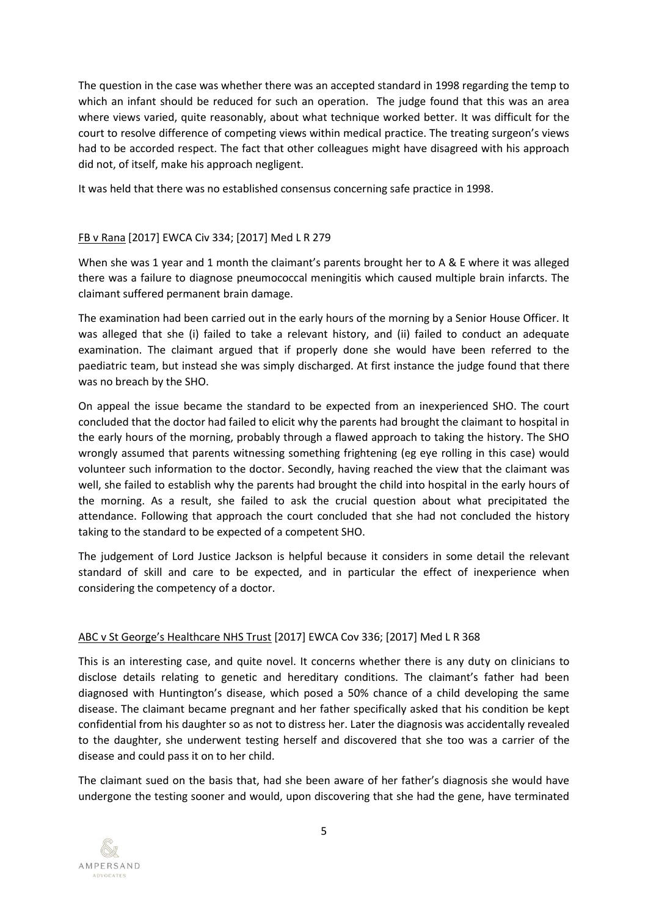The question in the case was whether there was an accepted standard in 1998 regarding the temp to which an infant should be reduced for such an operation. The judge found that this was an area where views varied, quite reasonably, about what technique worked better. It was difficult for the court to resolve difference of competing views within medical practice. The treating surgeon's views had to be accorded respect. The fact that other colleagues might have disagreed with his approach did not, of itself, make his approach negligent.

It was held that there was no established consensus concerning safe practice in 1998.

# FB v Rana [2017] EWCA Civ 334; [2017] Med L R 279

When she was 1 year and 1 month the claimant's parents brought her to A & E where it was alleged there was a failure to diagnose pneumococcal meningitis which caused multiple brain infarcts. The claimant suffered permanent brain damage.

The examination had been carried out in the early hours of the morning by a Senior House Officer. It was alleged that she (i) failed to take a relevant history, and (ii) failed to conduct an adequate examination. The claimant argued that if properly done she would have been referred to the paediatric team, but instead she was simply discharged. At first instance the judge found that there was no breach by the SHO.

On appeal the issue became the standard to be expected from an inexperienced SHO. The court concluded that the doctor had failed to elicit why the parents had brought the claimant to hospital in the early hours of the morning, probably through a flawed approach to taking the history. The SHO wrongly assumed that parents witnessing something frightening (eg eye rolling in this case) would volunteer such information to the doctor. Secondly, having reached the view that the claimant was well, she failed to establish why the parents had brought the child into hospital in the early hours of the morning. As a result, she failed to ask the crucial question about what precipitated the attendance. Following that approach the court concluded that she had not concluded the history taking to the standard to be expected of a competent SHO.

The judgement of Lord Justice Jackson is helpful because it considers in some detail the relevant standard of skill and care to be expected, and in particular the effect of inexperience when considering the competency of a doctor.

### ABC v St George's Healthcare NHS Trust [2017] EWCA Cov 336; [2017] Med L R 368

This is an interesting case, and quite novel. It concerns whether there is any duty on clinicians to disclose details relating to genetic and hereditary conditions. The claimant's father had been diagnosed with Huntington's disease, which posed a 50% chance of a child developing the same disease. The claimant became pregnant and her father specifically asked that his condition be kept confidential from his daughter so as not to distress her. Later the diagnosis was accidentally revealed to the daughter, she underwent testing herself and discovered that she too was a carrier of the disease and could pass it on to her child.

The claimant sued on the basis that, had she been aware of her father's diagnosis she would have undergone the testing sooner and would, upon discovering that she had the gene, have terminated

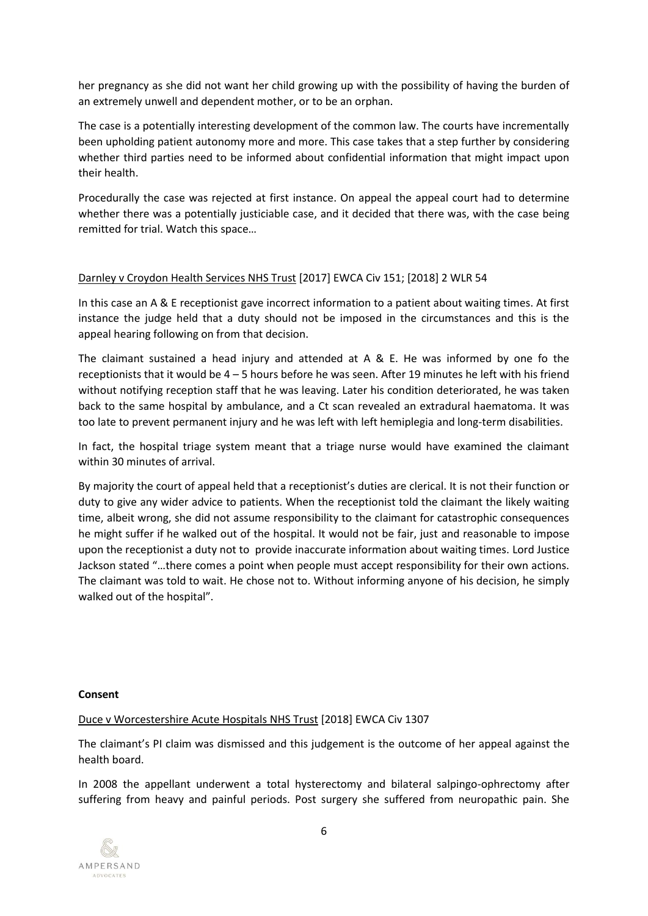her pregnancy as she did not want her child growing up with the possibility of having the burden of an extremely unwell and dependent mother, or to be an orphan.

The case is a potentially interesting development of the common law. The courts have incrementally been upholding patient autonomy more and more. This case takes that a step further by considering whether third parties need to be informed about confidential information that might impact upon their health.

Procedurally the case was rejected at first instance. On appeal the appeal court had to determine whether there was a potentially justiciable case, and it decided that there was, with the case being remitted for trial. Watch this space…

# Darnley v Croydon Health Services NHS Trust [2017] EWCA Civ 151; [2018] 2 WLR 54

In this case an A & E receptionist gave incorrect information to a patient about waiting times. At first instance the judge held that a duty should not be imposed in the circumstances and this is the appeal hearing following on from that decision.

The claimant sustained a head injury and attended at  $A \& E$ . He was informed by one fo the receptionists that it would be 4 – 5 hours before he was seen. After 19 minutes he left with his friend without notifying reception staff that he was leaving. Later his condition deteriorated, he was taken back to the same hospital by ambulance, and a Ct scan revealed an extradural haematoma. It was too late to prevent permanent injury and he was left with left hemiplegia and long-term disabilities.

In fact, the hospital triage system meant that a triage nurse would have examined the claimant within 30 minutes of arrival.

By majority the court of appeal held that a receptionist's duties are clerical. It is not their function or duty to give any wider advice to patients. When the receptionist told the claimant the likely waiting time, albeit wrong, she did not assume responsibility to the claimant for catastrophic consequences he might suffer if he walked out of the hospital. It would not be fair, just and reasonable to impose upon the receptionist a duty not to provide inaccurate information about waiting times. Lord Justice Jackson stated "…there comes a point when people must accept responsibility for their own actions. The claimant was told to wait. He chose not to. Without informing anyone of his decision, he simply walked out of the hospital".

### **Consent**

### Duce v Worcestershire Acute Hospitals NHS Trust [2018] EWCA Civ 1307

The claimant's PI claim was dismissed and this judgement is the outcome of her appeal against the health board.

In 2008 the appellant underwent a total hysterectomy and bilateral salpingo-ophrectomy after suffering from heavy and painful periods. Post surgery she suffered from neuropathic pain. She

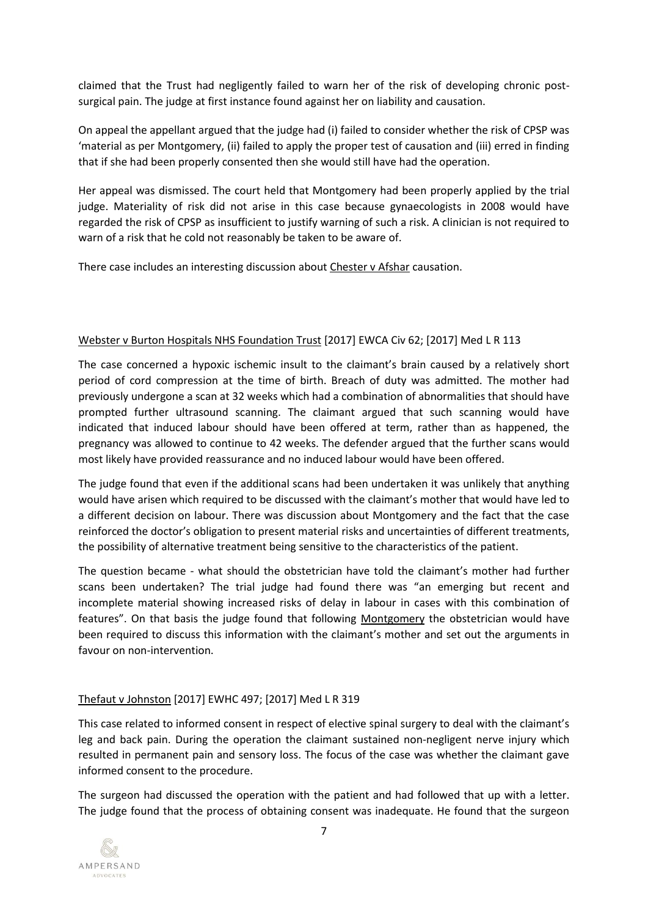claimed that the Trust had negligently failed to warn her of the risk of developing chronic postsurgical pain. The judge at first instance found against her on liability and causation.

On appeal the appellant argued that the judge had (i) failed to consider whether the risk of CPSP was 'material as per Montgomery, (ii) failed to apply the proper test of causation and (iii) erred in finding that if she had been properly consented then she would still have had the operation.

Her appeal was dismissed. The court held that Montgomery had been properly applied by the trial judge. Materiality of risk did not arise in this case because gynaecologists in 2008 would have regarded the risk of CPSP as insufficient to justify warning of such a risk. A clinician is not required to warn of a risk that he cold not reasonably be taken to be aware of.

There case includes an interesting discussion about Chester v Afshar causation.

# Webster v Burton Hospitals NHS Foundation Trust [2017] EWCA Civ 62; [2017] Med L R 113

The case concerned a hypoxic ischemic insult to the claimant's brain caused by a relatively short period of cord compression at the time of birth. Breach of duty was admitted. The mother had previously undergone a scan at 32 weeks which had a combination of abnormalities that should have prompted further ultrasound scanning. The claimant argued that such scanning would have indicated that induced labour should have been offered at term, rather than as happened, the pregnancy was allowed to continue to 42 weeks. The defender argued that the further scans would most likely have provided reassurance and no induced labour would have been offered.

The judge found that even if the additional scans had been undertaken it was unlikely that anything would have arisen which required to be discussed with the claimant's mother that would have led to a different decision on labour. There was discussion about Montgomery and the fact that the case reinforced the doctor's obligation to present material risks and uncertainties of different treatments, the possibility of alternative treatment being sensitive to the characteristics of the patient.

The question became - what should the obstetrician have told the claimant's mother had further scans been undertaken? The trial judge had found there was "an emerging but recent and incomplete material showing increased risks of delay in labour in cases with this combination of features". On that basis the judge found that following Montgomery the obstetrician would have been required to discuss this information with the claimant's mother and set out the arguments in favour on non-intervention.

# Thefaut v Johnston [2017] EWHC 497; [2017] Med L R 319

This case related to informed consent in respect of elective spinal surgery to deal with the claimant's leg and back pain. During the operation the claimant sustained non-negligent nerve injury which resulted in permanent pain and sensory loss. The focus of the case was whether the claimant gave informed consent to the procedure.

The surgeon had discussed the operation with the patient and had followed that up with a letter. The judge found that the process of obtaining consent was inadequate. He found that the surgeon

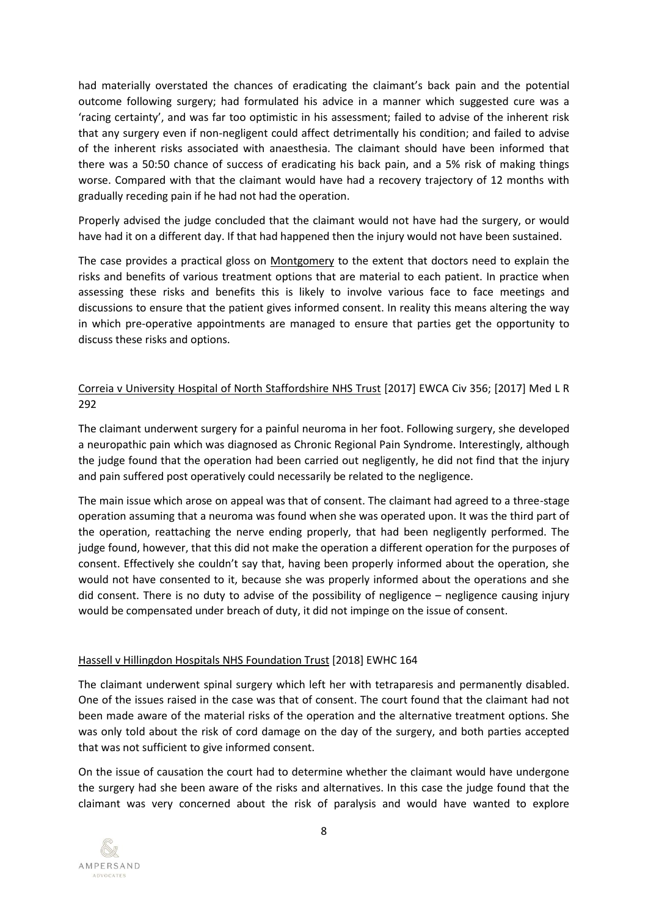had materially overstated the chances of eradicating the claimant's back pain and the potential outcome following surgery; had formulated his advice in a manner which suggested cure was a 'racing certainty', and was far too optimistic in his assessment; failed to advise of the inherent risk that any surgery even if non-negligent could affect detrimentally his condition; and failed to advise of the inherent risks associated with anaesthesia. The claimant should have been informed that there was a 50:50 chance of success of eradicating his back pain, and a 5% risk of making things worse. Compared with that the claimant would have had a recovery trajectory of 12 months with gradually receding pain if he had not had the operation.

Properly advised the judge concluded that the claimant would not have had the surgery, or would have had it on a different day. If that had happened then the injury would not have been sustained.

The case provides a practical gloss on Montgomery to the extent that doctors need to explain the risks and benefits of various treatment options that are material to each patient. In practice when assessing these risks and benefits this is likely to involve various face to face meetings and discussions to ensure that the patient gives informed consent. In reality this means altering the way in which pre-operative appointments are managed to ensure that parties get the opportunity to discuss these risks and options.

# Correia v University Hospital of North Staffordshire NHS Trust [2017] EWCA Civ 356; [2017] Med L R 292

The claimant underwent surgery for a painful neuroma in her foot. Following surgery, she developed a neuropathic pain which was diagnosed as Chronic Regional Pain Syndrome. Interestingly, although the judge found that the operation had been carried out negligently, he did not find that the injury and pain suffered post operatively could necessarily be related to the negligence.

The main issue which arose on appeal was that of consent. The claimant had agreed to a three-stage operation assuming that a neuroma was found when she was operated upon. It was the third part of the operation, reattaching the nerve ending properly, that had been negligently performed. The judge found, however, that this did not make the operation a different operation for the purposes of consent. Effectively she couldn't say that, having been properly informed about the operation, she would not have consented to it, because she was properly informed about the operations and she did consent. There is no duty to advise of the possibility of negligence – negligence causing injury would be compensated under breach of duty, it did not impinge on the issue of consent.

### Hassell v Hillingdon Hospitals NHS Foundation Trust [2018] EWHC 164

The claimant underwent spinal surgery which left her with tetraparesis and permanently disabled. One of the issues raised in the case was that of consent. The court found that the claimant had not been made aware of the material risks of the operation and the alternative treatment options. She was only told about the risk of cord damage on the day of the surgery, and both parties accepted that was not sufficient to give informed consent.

On the issue of causation the court had to determine whether the claimant would have undergone the surgery had she been aware of the risks and alternatives. In this case the judge found that the claimant was very concerned about the risk of paralysis and would have wanted to explore